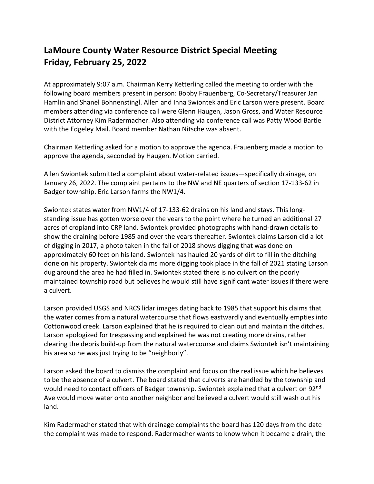## **LaMoure County Water Resource District Special Meeting Friday, February 25, 2022**

At approximately 9:07 a.m. Chairman Kerry Ketterling called the meeting to order with the following board members present in person: Bobby Frauenberg, Co-Secretary/Treasurer Jan Hamlin and Shanel Bohnenstingl. Allen and Inna Swiontek and Eric Larson were present. Board members attending via conference call were Glenn Haugen, Jason Gross, and Water Resource District Attorney Kim Radermacher. Also attending via conference call was Patty Wood Bartle with the Edgeley Mail. Board member Nathan Nitsche was absent.

Chairman Ketterling asked for a motion to approve the agenda. Frauenberg made a motion to approve the agenda, seconded by Haugen. Motion carried.

Allen Swiontek submitted a complaint about water-related issues—specifically drainage, on January 26, 2022. The complaint pertains to the NW and NE quarters of section 17-133-62 in Badger township. Eric Larson farms the NW1/4.

Swiontek states water from NW1/4 of 17-133-62 drains on his land and stays. This longstanding issue has gotten worse over the years to the point where he turned an additional 27 acres of cropland into CRP land. Swiontek provided photographs with hand-drawn details to show the draining before 1985 and over the years thereafter. Swiontek claims Larson did a lot of digging in 2017, a photo taken in the fall of 2018 shows digging that was done on approximately 60 feet on his land. Swiontek has hauled 20 yards of dirt to fill in the ditching done on his property. Swiontek claims more digging took place in the fall of 2021 stating Larson dug around the area he had filled in. Swiontek stated there is no culvert on the poorly maintained township road but believes he would still have significant water issues if there were a culvert.

Larson provided USGS and NRCS lidar images dating back to 1985 that support his claims that the water comes from a natural watercourse that flows eastwardly and eventually empties into Cottonwood creek. Larson explained that he is required to clean out and maintain the ditches. Larson apologized for trespassing and explained he was not creating more drains, rather clearing the debris build-up from the natural watercourse and claims Swiontek isn't maintaining his area so he was just trying to be "neighborly".

Larson asked the board to dismiss the complaint and focus on the real issue which he believes to be the absence of a culvert. The board stated that culverts are handled by the township and would need to contact officers of Badger township. Swiontek explained that a culvert on 92<sup>nd</sup> Ave would move water onto another neighbor and believed a culvert would still wash out his land.

Kim Radermacher stated that with drainage complaints the board has 120 days from the date the complaint was made to respond. Radermacher wants to know when it became a drain, the